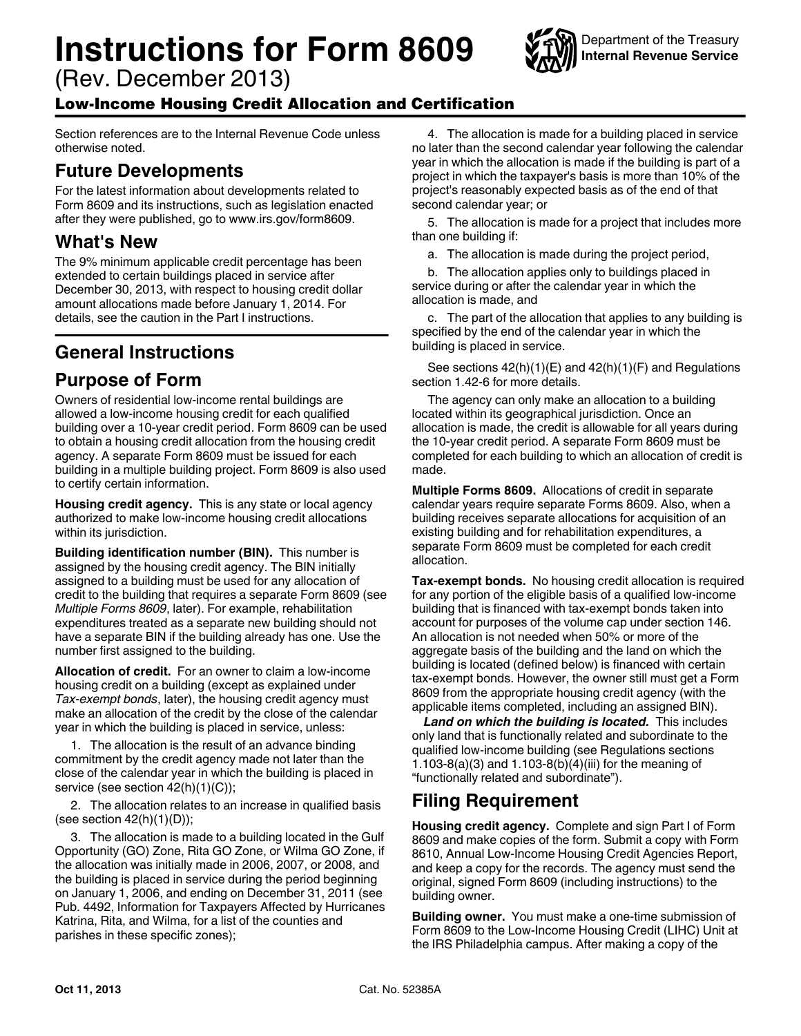# **Instructions for Form 8609**

(Rev. December 2013)

## Low-Income Housing Credit Allocation and Certification

Section references are to the Internal Revenue Code unless otherwise noted.

## **Future Developments**

For the latest information about developments related to Form 8609 and its instructions, such as legislation enacted after they were published, go to www.irs.gov/form8609.

# **What's New**

The 9% minimum applicable credit percentage has been extended to certain buildings placed in service after December 30, 2013, with respect to housing credit dollar amount allocations made before January 1, 2014. For details, see the caution in the Part I instructions.

# **General Instructions**

### **Purpose of Form**

Owners of residential low-income rental buildings are allowed a low-income housing credit for each qualified building over a 10-year credit period. Form 8609 can be used to obtain a housing credit allocation from the housing credit agency. A separate Form 8609 must be issued for each building in a multiple building project. Form 8609 is also used to certify certain information.

**Housing credit agency.** This is any state or local agency authorized to make low-income housing credit allocations within its jurisdiction.

**Building identification number (BIN).** This number is assigned by the housing credit agency. The BIN initially assigned to a building must be used for any allocation of credit to the building that requires a separate Form 8609 (see *Multiple Forms 8609*, later). For example, rehabilitation expenditures treated as a separate new building should not have a separate BIN if the building already has one. Use the number first assigned to the building.

**Allocation of credit.** For an owner to claim a low-income housing credit on a building (except as explained under *Tax-exempt bonds*, later), the housing credit agency must make an allocation of the credit by the close of the calendar year in which the building is placed in service, unless:

1. The allocation is the result of an advance binding commitment by the credit agency made not later than the close of the calendar year in which the building is placed in service (see section 42(h)(1)(C));

2. The allocation relates to an increase in qualified basis (see section  $42(h)(1)(D)$ );

3. The allocation is made to a building located in the Gulf Opportunity (GO) Zone, Rita GO Zone, or Wilma GO Zone, if the allocation was initially made in 2006, 2007, or 2008, and the building is placed in service during the period beginning on January 1, 2006, and ending on December 31, 2011 (see Pub. 4492, Information for Taxpayers Affected by Hurricanes Katrina, Rita, and Wilma, for a list of the counties and parishes in these specific zones);

4. The allocation is made for a building placed in service no later than the second calendar year following the calendar year in which the allocation is made if the building is part of a project in which the taxpayer's basis is more than 10% of the project's reasonably expected basis as of the end of that second calendar year; or

5. The allocation is made for a project that includes more than one building if:

a. The allocation is made during the project period,

b. The allocation applies only to buildings placed in service during or after the calendar year in which the allocation is made, and

c. The part of the allocation that applies to any building is specified by the end of the calendar year in which the building is placed in service.

See sections 42(h)(1)(E) and 42(h)(1)(F) and Regulations section 1.42-6 for more details.

The agency can only make an allocation to a building located within its geographical jurisdiction. Once an allocation is made, the credit is allowable for all years during the 10-year credit period. A separate Form 8609 must be completed for each building to which an allocation of credit is made.

**Multiple Forms 8609.** Allocations of credit in separate calendar years require separate Forms 8609. Also, when a building receives separate allocations for acquisition of an existing building and for rehabilitation expenditures, a separate Form 8609 must be completed for each credit allocation.

**Tax-exempt bonds.** No housing credit allocation is required for any portion of the eligible basis of a qualified low-income building that is financed with tax-exempt bonds taken into account for purposes of the volume cap under section 146. An allocation is not needed when 50% or more of the aggregate basis of the building and the land on which the building is located (defined below) is financed with certain tax-exempt bonds. However, the owner still must get a Form 8609 from the appropriate housing credit agency (with the applicable items completed, including an assigned BIN).

*Land on which the building is located.* This includes only land that is functionally related and subordinate to the qualified low-income building (see Regulations sections 1.103-8(a)(3) and 1.103-8(b)(4)(iii) for the meaning of "functionally related and subordinate").

# **Filing Requirement**

**Housing credit agency.** Complete and sign Part I of Form 8609 and make copies of the form. Submit a copy with Form 8610, Annual Low-Income Housing Credit Agencies Report, and keep a copy for the records. The agency must send the original, signed Form 8609 (including instructions) to the building owner.

**Building owner.** You must make a one-time submission of Form 8609 to the Low-Income Housing Credit (LIHC) Unit at the IRS Philadelphia campus. After making a copy of the

Department of the Treasury **Internal Revenue Service**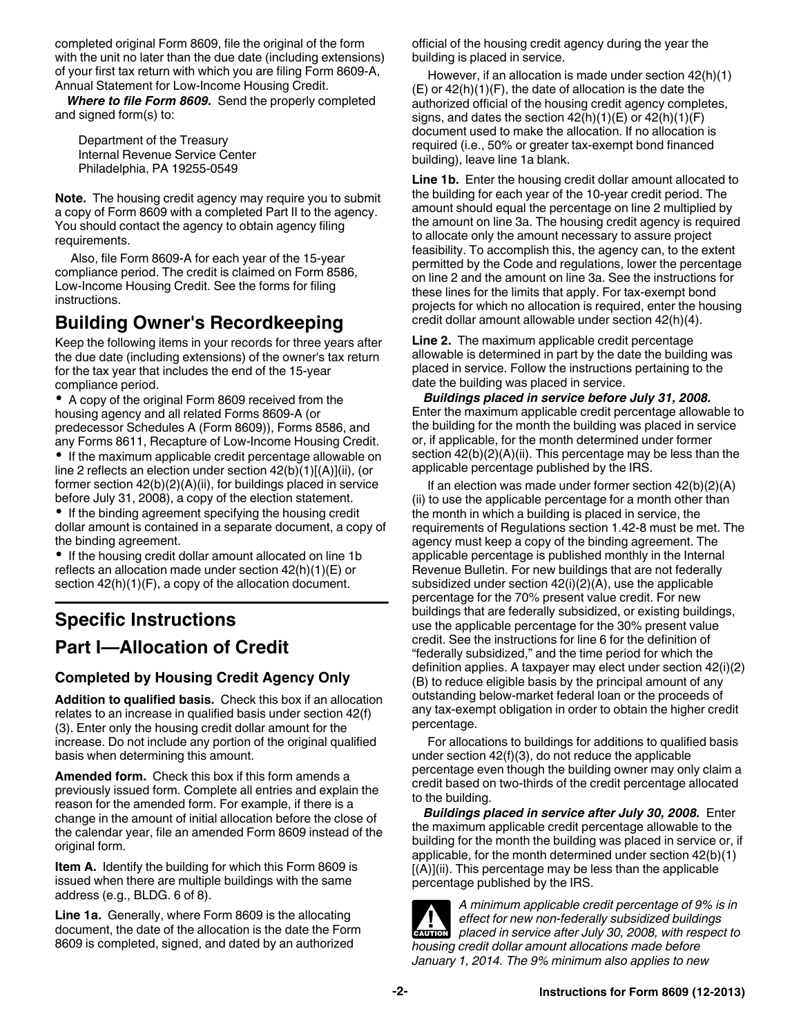completed original Form 8609, file the original of the form with the unit no later than the due date (including extensions) of your first tax return with which you are filing Form 8609-A, Annual Statement for Low-Income Housing Credit.

*Where to file Form 8609.* Send the properly completed and signed form(s) to:

Department of the Treasury Internal Revenue Service Center Philadelphia, PA 19255-0549

**Note.** The housing credit agency may require you to submit a copy of Form 8609 with a completed Part II to the agency. You should contact the agency to obtain agency filing requirements.

Also, file Form 8609-A for each year of the 15-year compliance period. The credit is claimed on Form 8586, Low-Income Housing Credit. See the forms for filing instructions.

# **Building Owner's Recordkeeping**

Keep the following items in your records for three years after the due date (including extensions) of the owner's tax return for the tax year that includes the end of the 15-year compliance period.

A copy of the original Form 8609 received from the housing agency and all related Forms 8609-A (or predecessor Schedules A (Form 8609)), Forms 8586, and any Forms 8611, Recapture of Low-Income Housing Credit.

• If the maximum applicable credit percentage allowable on line 2 reflects an election under section 42(b)(1)[(A)](ii), (or former section 42(b)(2)(A)(ii), for buildings placed in service before July 31, 2008), a copy of the election statement.

• If the binding agreement specifying the housing credit dollar amount is contained in a separate document, a copy of the binding agreement.

• If the housing credit dollar amount allocated on line 1b reflects an allocation made under section 42(h)(1)(E) or section  $42(h)(1)(F)$ , a copy of the allocation document.

# **Specific Instructions Part I—Allocation of Credit**

#### **Completed by Housing Credit Agency Only**

**Addition to qualified basis.** Check this box if an allocation relates to an increase in qualified basis under section 42(f) (3). Enter only the housing credit dollar amount for the increase. Do not include any portion of the original qualified basis when determining this amount.

**Amended form.** Check this box if this form amends a previously issued form. Complete all entries and explain the reason for the amended form. For example, if there is a change in the amount of initial allocation before the close of the calendar year, file an amended Form 8609 instead of the original form.

**Item A.** Identify the building for which this Form 8609 is issued when there are multiple buildings with the same address (e.g., BLDG. 6 of 8).

**Line 1a.** Generally, where Form 8609 is the allocating document, the date of the allocation is the date the Form 8609 is completed, signed, and dated by an authorized

official of the housing credit agency during the year the building is placed in service.

However, if an allocation is made under section 42(h)(1)  $(E)$  or  $42(h)(1)(F)$ , the date of allocation is the date the authorized official of the housing credit agency completes, signs, and dates the section  $42(h)(1)(E)$  or  $42(h)(1)(F)$ document used to make the allocation. If no allocation is required (i.e., 50% or greater tax-exempt bond financed building), leave line 1a blank.

Line 1b. Enter the housing credit dollar amount allocated to the building for each year of the 10-year credit period. The amount should equal the percentage on line 2 multiplied by the amount on line 3a. The housing credit agency is required to allocate only the amount necessary to assure project feasibility. To accomplish this, the agency can, to the extent permitted by the Code and regulations, lower the percentage on line 2 and the amount on line 3a. See the instructions for these lines for the limits that apply. For tax-exempt bond projects for which no allocation is required, enter the housing credit dollar amount allowable under section 42(h)(4).

**Line 2.** The maximum applicable credit percentage allowable is determined in part by the date the building was placed in service. Follow the instructions pertaining to the date the building was placed in service.

*Buildings placed in service before July 31, 2008.*  Enter the maximum applicable credit percentage allowable to the building for the month the building was placed in service or, if applicable, for the month determined under former section  $42(b)(2)(A)(ii)$ . This percentage may be less than the applicable percentage published by the IRS.

If an election was made under former section 42(b)(2)(A) (ii) to use the applicable percentage for a month other than the month in which a building is placed in service, the requirements of Regulations section 1.42-8 must be met. The agency must keep a copy of the binding agreement. The applicable percentage is published monthly in the Internal Revenue Bulletin. For new buildings that are not federally subsidized under section 42(i)(2)(A), use the applicable percentage for the 70% present value credit. For new buildings that are federally subsidized, or existing buildings, use the applicable percentage for the 30% present value credit. See the instructions for line 6 for the definition of "federally subsidized," and the time period for which the definition applies. A taxpayer may elect under section 42(i)(2) (B) to reduce eligible basis by the principal amount of any outstanding below-market federal loan or the proceeds of any tax-exempt obligation in order to obtain the higher credit percentage.

For allocations to buildings for additions to qualified basis under section 42(f)(3), do not reduce the applicable percentage even though the building owner may only claim a credit based on two-thirds of the credit percentage allocated to the building.

*Buildings placed in service after July 30, 2008.* Enter the maximum applicable credit percentage allowable to the building for the month the building was placed in service or, if applicable, for the month determined under section 42(b)(1) [(A)](ii). This percentage may be less than the applicable percentage published by the IRS.

*A minimum applicable credit percentage of 9% is in effect for new non-federally subsidized buildings*  **placed in service after July 30, 2008, with respect to**  $\frac{1}{2}$  **placed in service after July 30, 2008, with respect to** *housing credit dollar amount allocations made before January 1, 2014. The 9% minimum also applies to new*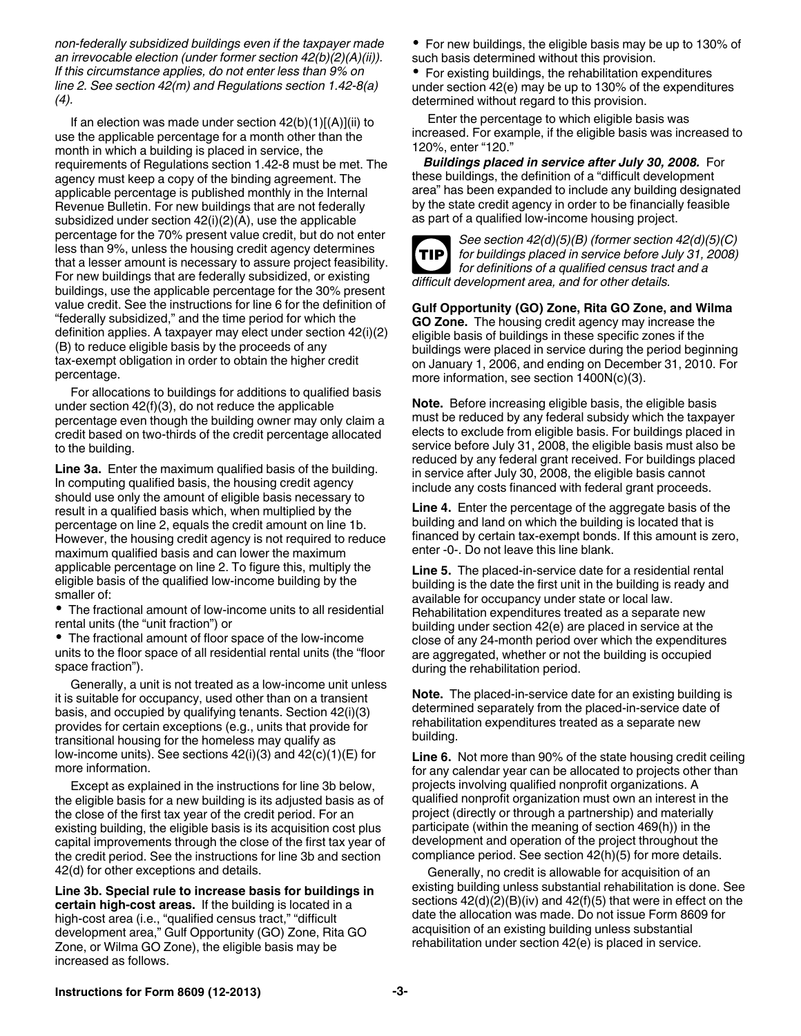*non-federally subsidized buildings even if the taxpayer made an irrevocable election (under former section 42(b)(2)(A)(ii)). If this circumstance applies, do not enter less than 9% on line 2. See section 42(m) and Regulations section 1.42-8(a) (4).*

If an election was made under section  $42(b)(1)[(A)](ii)$  to use the applicable percentage for a month other than the month in which a building is placed in service, the requirements of Regulations section 1.42-8 must be met. The agency must keep a copy of the binding agreement. The applicable percentage is published monthly in the Internal Revenue Bulletin. For new buildings that are not federally subsidized under section 42(i)(2)(A), use the applicable percentage for the 70% present value credit, but do not enter less than 9%, unless the housing credit agency determines that a lesser amount is necessary to assure project feasibility. For new buildings that are federally subsidized, or existing buildings, use the applicable percentage for the 30% present value credit. See the instructions for line 6 for the definition of "federally subsidized," and the time period for which the definition applies. A taxpayer may elect under section 42(i)(2) (B) to reduce eligible basis by the proceeds of any tax-exempt obligation in order to obtain the higher credit percentage.

For allocations to buildings for additions to qualified basis under section 42(f)(3), do not reduce the applicable percentage even though the building owner may only claim a credit based on two-thirds of the credit percentage allocated to the building.

**Line 3a.** Enter the maximum qualified basis of the building. In computing qualified basis, the housing credit agency should use only the amount of eligible basis necessary to result in a qualified basis which, when multiplied by the percentage on line 2, equals the credit amount on line 1b. However, the housing credit agency is not required to reduce maximum qualified basis and can lower the maximum applicable percentage on line 2. To figure this, multiply the eligible basis of the qualified low-income building by the smaller of:

The fractional amount of low-income units to all residential rental units (the "unit fraction") or

The fractional amount of floor space of the low-income units to the floor space of all residential rental units (the "floor space fraction").

Generally, a unit is not treated as a low-income unit unless it is suitable for occupancy, used other than on a transient basis, and occupied by qualifying tenants. Section 42(i)(3) provides for certain exceptions (e.g., units that provide for transitional housing for the homeless may qualify as low-income units). See sections 42(i)(3) and 42(c)(1)(E) for more information.

Except as explained in the instructions for line 3b below, the eligible basis for a new building is its adjusted basis as of the close of the first tax year of the credit period. For an existing building, the eligible basis is its acquisition cost plus capital improvements through the close of the first tax year of the credit period. See the instructions for line 3b and section 42(d) for other exceptions and details.

**Line 3b. Special rule to increase basis for buildings in certain high-cost areas.** If the building is located in a high-cost area (i.e., "qualified census tract," "difficult development area," Gulf Opportunity (GO) Zone, Rita GO Zone, or Wilma GO Zone), the eligible basis may be increased as follows.

• For new buildings, the eligible basis may be up to 130% of such basis determined without this provision.

• For existing buildings, the rehabilitation expenditures under section 42(e) may be up to 130% of the expenditures determined without regard to this provision.

Enter the percentage to which eligible basis was increased. For example, if the eligible basis was increased to 120%, enter "120."

*Buildings placed in service after July 30, 2008.* For these buildings, the definition of a "difficult development area" has been expanded to include any building designated by the state credit agency in order to be financially feasible as part of a qualified low-income housing project.



*See section 42(d)(5)(B) (former section 42(d)(5)(C) for buildings placed in service before July 31, 2008) for definitions of a qualified census tract and a difficult development area, and for other details.*

**Gulf Opportunity (GO) Zone, Rita GO Zone, and Wilma GO Zone.** The housing credit agency may increase the eligible basis of buildings in these specific zones if the buildings were placed in service during the period beginning on January 1, 2006, and ending on December 31, 2010. For more information, see section 1400N(c)(3).

**Note.** Before increasing eligible basis, the eligible basis must be reduced by any federal subsidy which the taxpayer elects to exclude from eligible basis. For buildings placed in service before July 31, 2008, the eligible basis must also be reduced by any federal grant received. For buildings placed in service after July 30, 2008, the eligible basis cannot include any costs financed with federal grant proceeds.

**Line 4.** Enter the percentage of the aggregate basis of the building and land on which the building is located that is financed by certain tax-exempt bonds. If this amount is zero, enter -0-. Do not leave this line blank.

**Line 5.** The placed-in-service date for a residential rental building is the date the first unit in the building is ready and available for occupancy under state or local law. Rehabilitation expenditures treated as a separate new building under section 42(e) are placed in service at the close of any 24-month period over which the expenditures are aggregated, whether or not the building is occupied during the rehabilitation period.

**Note.** The placed-in-service date for an existing building is determined separately from the placed-in-service date of rehabilitation expenditures treated as a separate new building.

**Line 6.** Not more than 90% of the state housing credit ceiling for any calendar year can be allocated to projects other than projects involving qualified nonprofit organizations. A qualified nonprofit organization must own an interest in the project (directly or through a partnership) and materially participate (within the meaning of section 469(h)) in the development and operation of the project throughout the compliance period. See section 42(h)(5) for more details.

Generally, no credit is allowable for acquisition of an existing building unless substantial rehabilitation is done. See sections  $42(d)(2)(B)(iv)$  and  $42(f)(5)$  that were in effect on the date the allocation was made. Do not issue Form 8609 for acquisition of an existing building unless substantial rehabilitation under section 42(e) is placed in service.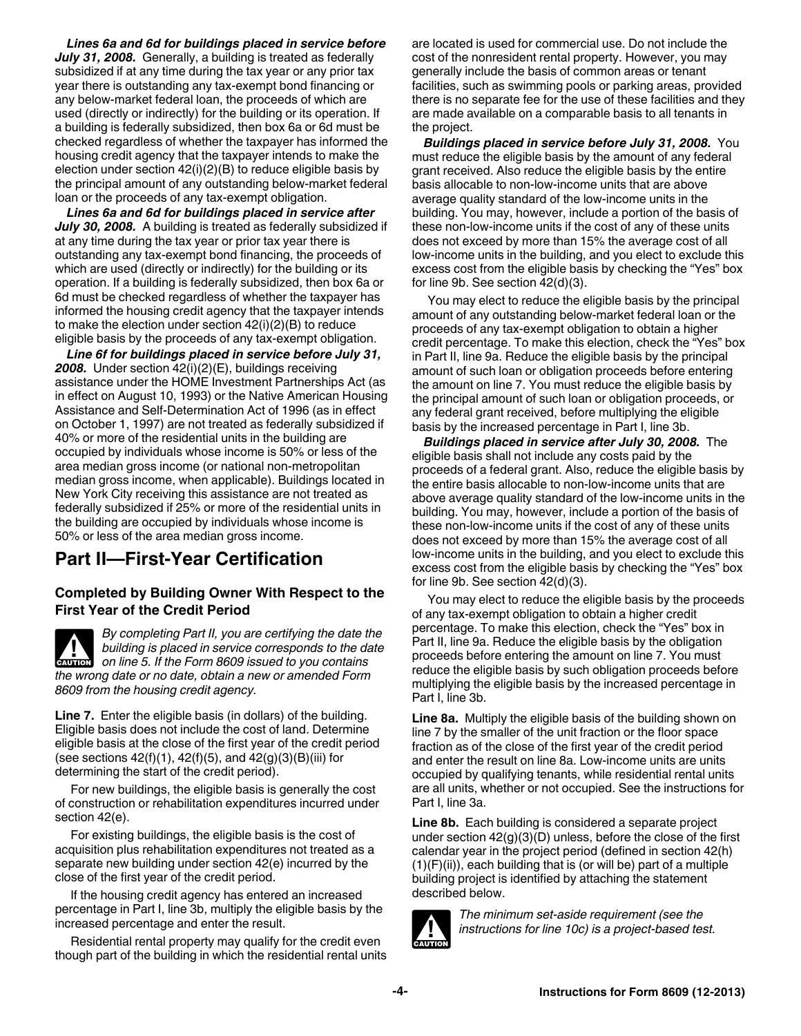*Lines 6a and 6d for buildings placed in service before July 31, 2008.* Generally, a building is treated as federally subsidized if at any time during the tax year or any prior tax year there is outstanding any tax-exempt bond financing or any below-market federal loan, the proceeds of which are used (directly or indirectly) for the building or its operation. If a building is federally subsidized, then box 6a or 6d must be checked regardless of whether the taxpayer has informed the housing credit agency that the taxpayer intends to make the election under section 42(i)(2)(B) to reduce eligible basis by the principal amount of any outstanding below-market federal loan or the proceeds of any tax-exempt obligation.

*Lines 6a and 6d for buildings placed in service after July 30, 2008.* A building is treated as federally subsidized if at any time during the tax year or prior tax year there is outstanding any tax-exempt bond financing, the proceeds of which are used (directly or indirectly) for the building or its operation. If a building is federally subsidized, then box 6a or 6d must be checked regardless of whether the taxpayer has informed the housing credit agency that the taxpayer intends to make the election under section 42(i)(2)(B) to reduce eligible basis by the proceeds of any tax-exempt obligation.

*Line 6f for buildings placed in service before July 31, 2008.* Under section 42(i)(2)(E), buildings receiving assistance under the HOME Investment Partnerships Act (as in effect on August 10, 1993) or the Native American Housing Assistance and Self-Determination Act of 1996 (as in effect on October 1, 1997) are not treated as federally subsidized if 40% or more of the residential units in the building are occupied by individuals whose income is 50% or less of the area median gross income (or national non-metropolitan median gross income, when applicable). Buildings located in New York City receiving this assistance are not treated as federally subsidized if 25% or more of the residential units in the building are occupied by individuals whose income is 50% or less of the area median gross income.

### **Part II—First-Year Certification**

#### **Completed by Building Owner With Respect to the First Year of the Credit Period**

*By completing Part II, you are certifying the date the building is placed in service corresponds to the date*  **building is placed in service corresponds to the data on line 5. If the Form 8609 issued to you contains** *the wrong date or no date, obtain a new or amended Form 8609 from the housing credit agency.*

**Line 7.** Enter the eligible basis (in dollars) of the building. Eligible basis does not include the cost of land. Determine eligible basis at the close of the first year of the credit period (see sections  $42(f)(1)$ ,  $42(f)(5)$ , and  $42(g)(3)(B)(iii)$  for determining the start of the credit period).

For new buildings, the eligible basis is generally the cost of construction or rehabilitation expenditures incurred under section 42(e).

For existing buildings, the eligible basis is the cost of acquisition plus rehabilitation expenditures not treated as a separate new building under section 42(e) incurred by the close of the first year of the credit period.

If the housing credit agency has entered an increased percentage in Part I, line 3b, multiply the eligible basis by the increased percentage and enter the result.

Residential rental property may qualify for the credit even though part of the building in which the residential rental units are located is used for commercial use. Do not include the cost of the nonresident rental property. However, you may generally include the basis of common areas or tenant facilities, such as swimming pools or parking areas, provided there is no separate fee for the use of these facilities and they are made available on a comparable basis to all tenants in the project.

*Buildings placed in service before July 31, 2008.* You must reduce the eligible basis by the amount of any federal grant received. Also reduce the eligible basis by the entire basis allocable to non-low-income units that are above average quality standard of the low-income units in the building. You may, however, include a portion of the basis of these non-low-income units if the cost of any of these units does not exceed by more than 15% the average cost of all low-income units in the building, and you elect to exclude this excess cost from the eligible basis by checking the "Yes" box for line 9b. See section 42(d)(3).

You may elect to reduce the eligible basis by the principal amount of any outstanding below-market federal loan or the proceeds of any tax-exempt obligation to obtain a higher credit percentage. To make this election, check the "Yes" box in Part II, line 9a. Reduce the eligible basis by the principal amount of such loan or obligation proceeds before entering the amount on line 7. You must reduce the eligible basis by the principal amount of such loan or obligation proceeds, or any federal grant received, before multiplying the eligible basis by the increased percentage in Part I, line 3b.

*Buildings placed in service after July 30, 2008. The* eligible basis shall not include any costs paid by the proceeds of a federal grant. Also, reduce the eligible basis by the entire basis allocable to non-low-income units that are above average quality standard of the low-income units in the building. You may, however, include a portion of the basis of these non-low-income units if the cost of any of these units does not exceed by more than 15% the average cost of all low-income units in the building, and you elect to exclude this excess cost from the eligible basis by checking the "Yes" box for line 9b. See section 42(d)(3).

You may elect to reduce the eligible basis by the proceeds of any tax-exempt obligation to obtain a higher credit percentage. To make this election, check the "Yes" box in Part II, line 9a. Reduce the eligible basis by the obligation proceeds before entering the amount on line 7. You must reduce the eligible basis by such obligation proceeds before multiplying the eligible basis by the increased percentage in Part I, line 3b.

**Line 8a.** Multiply the eligible basis of the building shown on line 7 by the smaller of the unit fraction or the floor space fraction as of the close of the first year of the credit period and enter the result on line 8a. Low-income units are units occupied by qualifying tenants, while residential rental units are all units, whether or not occupied. See the instructions for Part I, line 3a.

**Line 8b.** Each building is considered a separate project under section 42(g)(3)(D) unless, before the close of the first calendar year in the project period (defined in section 42(h)  $(1)(F)(ii)$ , each building that is (or will be) part of a multiple building project is identified by attaching the statement described below.



*The minimum set-aside requirement (see the instructions for line 10c) is a project-based test.*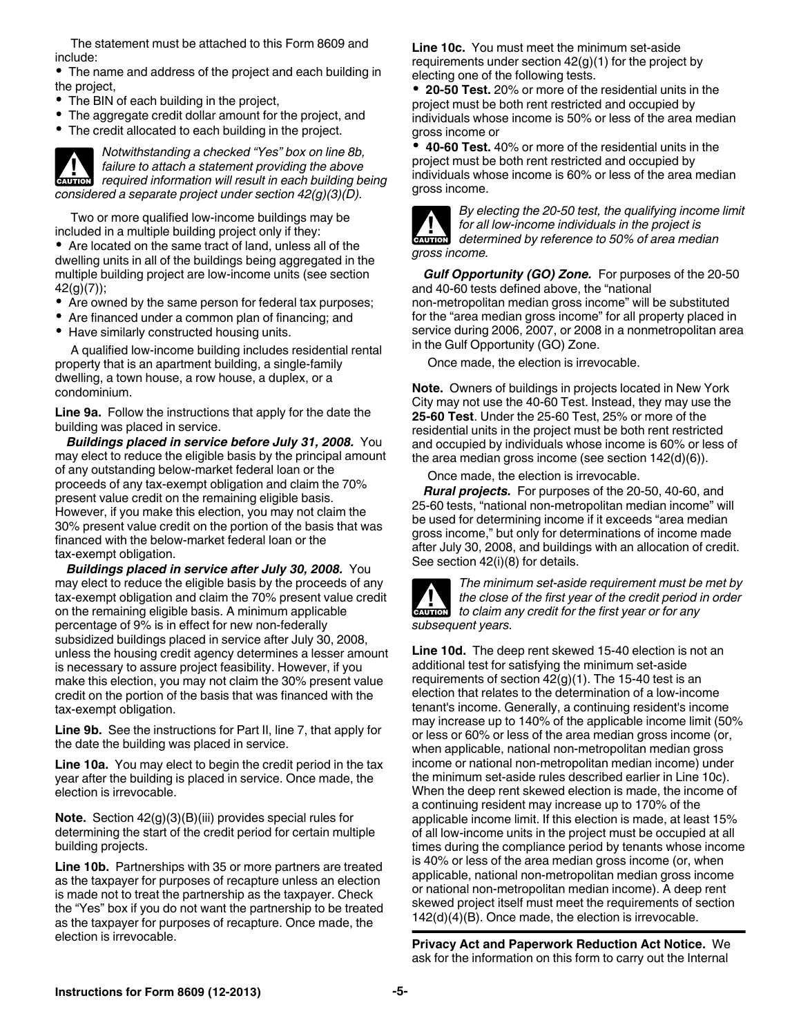The statement must be attached to this Form 8609 and include:

The name and address of the project and each building in the project,

- The BIN of each building in the project,
- The aggregate credit dollar amount for the project, and
- The credit allocated to each building in the project.

*Notwithstanding a checked "Yes" box on line 8b, failure to attach a statement providing the above required information will result in each building being information will result in each building being considered a separate project under section 42(g)(3)(D).*

Two or more qualified low-income buildings may be included in a multiple building project only if they:

Are located on the same tract of land, unless all of the dwelling units in all of the buildings being aggregated in the multiple building project are low-income units (see section 42(g)(7));

- Are owned by the same person for federal tax purposes;
- Are financed under a common plan of financing; and
- Have similarly constructed housing units.

A qualified low-income building includes residential rental property that is an apartment building, a single-family dwelling, a town house, a row house, a duplex, or a condominium.

**Line 9a.** Follow the instructions that apply for the date the building was placed in service.

*Buildings placed in service before July 31, 2008.* You may elect to reduce the eligible basis by the principal amount of any outstanding below-market federal loan or the proceeds of any tax-exempt obligation and claim the 70% present value credit on the remaining eligible basis. However, if you make this election, you may not claim the 30% present value credit on the portion of the basis that was financed with the below-market federal loan or the tax-exempt obligation.

*Buildings placed in service after July 30, 2008.* You may elect to reduce the eligible basis by the proceeds of any tax-exempt obligation and claim the 70% present value credit on the remaining eligible basis. A minimum applicable percentage of 9% is in effect for new non-federally subsidized buildings placed in service after July 30, 2008, unless the housing credit agency determines a lesser amount is necessary to assure project feasibility. However, if you make this election, you may not claim the 30% present value credit on the portion of the basis that was financed with the tax-exempt obligation.

**Line 9b.** See the instructions for Part II, line 7, that apply for the date the building was placed in service.

**Line 10a.** You may elect to begin the credit period in the tax year after the building is placed in service. Once made, the election is irrevocable.

**Note.** Section 42(g)(3)(B)(iii) provides special rules for determining the start of the credit period for certain multiple building projects.

**Line 10b.** Partnerships with 35 or more partners are treated as the taxpayer for purposes of recapture unless an election is made not to treat the partnership as the taxpayer. Check the "Yes" box if you do not want the partnership to be treated as the taxpayer for purposes of recapture. Once made, the election is irrevocable.

**Line 10c.** You must meet the minimum set-aside requirements under section  $42<sub>(g)</sub>(1)$  for the project by electing one of the following tests.

**20-50 Test.** 20% or more of the residential units in the project must be both rent restricted and occupied by individuals whose income is 50% or less of the area median gross income or

**40-60 Test.** 40% or more of the residential units in the project must be both rent restricted and occupied by individuals whose income is 60% or less of the area median gross income.



*By electing the 20-50 test, the qualifying income limit for all low-income individuals in the project is*  **determined by reference to 50% of area median** *determined by reference to 50% of area median gross income.*

*Gulf Opportunity (GO) Zone.* For purposes of the 20-50 and 40-60 tests defined above, the "national non-metropolitan median gross income" will be substituted for the "area median gross income" for all property placed in service during 2006, 2007, or 2008 in a nonmetropolitan area in the Gulf Opportunity (GO) Zone.

Once made, the election is irrevocable.

**Note.** Owners of buildings in projects located in New York City may not use the 40-60 Test. Instead, they may use the **25-60 Test**. Under the 25-60 Test, 25% or more of the residential units in the project must be both rent restricted and occupied by individuals whose income is 60% or less of the area median gross income (see section 142(d)(6)).

Once made, the election is irrevocable.

*Rural projects.* For purposes of the 20-50, 40-60, and 25-60 tests, "national non-metropolitan median income" will be used for determining income if it exceeds "area median gross income," but only for determinations of income made after July 30, 2008, and buildings with an allocation of credit. See section 42(i)(8) for details.



*The minimum set-aside requirement must be met by the close of the first year of the credit period in order*  **h** the close of the first year of the credit period is to claim any credit for the first year or for any *subsequent years.*

**Line 10d.** The deep rent skewed 15-40 election is not an additional test for satisfying the minimum set-aside requirements of section  $42<sub>(g)</sub>(1)$ . The 15-40 test is an election that relates to the determination of a low-income tenant's income. Generally, a continuing resident's income may increase up to 140% of the applicable income limit (50% or less or 60% or less of the area median gross income (or, when applicable, national non-metropolitan median gross income or national non-metropolitan median income) under the minimum set-aside rules described earlier in Line 10c). When the deep rent skewed election is made, the income of a continuing resident may increase up to 170% of the applicable income limit. If this election is made, at least 15% of all low-income units in the project must be occupied at all times during the compliance period by tenants whose income is 40% or less of the area median gross income (or, when applicable, national non-metropolitan median gross income or national non-metropolitan median income). A deep rent skewed project itself must meet the requirements of section 142(d)(4)(B). Once made, the election is irrevocable.

**Privacy Act and Paperwork Reduction Act Notice.** We ask for the information on this form to carry out the Internal